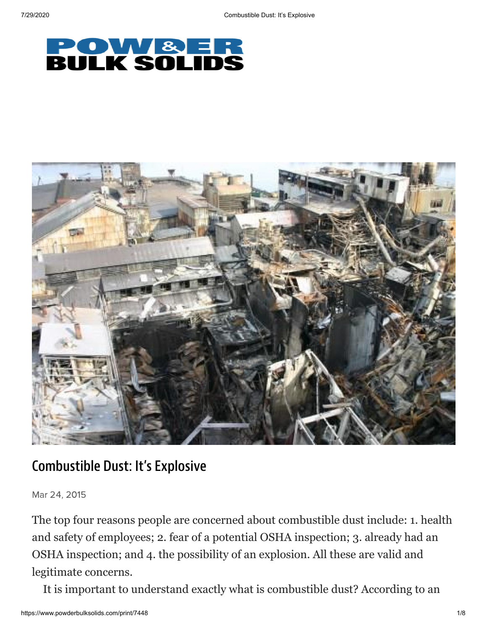



## Combustible Dust: It's Explosive

Mar 24, 2015

The top four reasons people are concerned about combustible dust include: 1. health and safety of employees; 2. fear of a potential OSHA inspection; 3. already had an OSHA inspection; and 4. the possibility of an explosion. All these are valid and legitimate concerns.

It is important to understand exactly what is combustible dust? According to an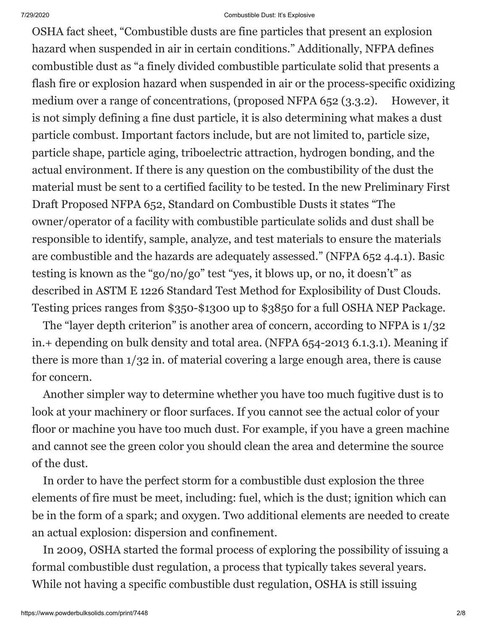OSHA fact sheet, "Combustible dusts are fine particles that present an explosion hazard when suspended in air in certain conditions." Additionally, NFPA defines combustible dust as "a finely divided combustible particulate solid that presents a flash fire or explosion hazard when suspended in air or the process-specific oxidizing medium over a range of concentrations, (proposed NFPA 652 (3.3.2). However, it is not simply defining a fine dust particle, it is also determining what makes a dust particle combust. Important factors include, but are not limited to, particle size, particle shape, particle aging, triboelectric attraction, hydrogen bonding, and the actual environment. If there is any question on the combustibility of the dust the material must be sent to a certified facility to be tested. In the new Preliminary First Draft Proposed NFPA 652, Standard on Combustible Dusts it states "The owner/operator of a facility with combustible particulate solids and dust shall be responsible to identify, sample, analyze, and test materials to ensure the materials are combustible and the hazards are adequately assessed." (NFPA 652 4.4.1). Basic testing is known as the "go/no/go" test "yes, it blows up, or no, it doesn't" as described in ASTM E 1226 Standard Test Method for Explosibility of Dust Clouds. Testing prices ranges from \$350-\$1300 up to \$3850 for a full OSHA NEP Package.

 The "layer depth criterion" is another area of concern, according to NFPA is 1/32 in.+ depending on bulk density and total area. (NFPA 654-2013 6.1.3.1). Meaning if there is more than 1/32 in. of material covering a large enough area, there is cause for concern.

 Another simpler way to determine whether you have too much fugitive dust is to look at your machinery or floor surfaces. If you cannot see the actual color of your floor or machine you have too much dust. For example, if you have a green machine and cannot see the green color you should clean the area and determine the source of the dust.

 In order to have the perfect storm for a combustible dust explosion the three elements of fire must be meet, including: fuel, which is the dust; ignition which can be in the form of a spark; and oxygen. Two additional elements are needed to create an actual explosion: dispersion and confinement.

 In 2009, OSHA started the formal process of exploring the possibility of issuing a formal combustible dust regulation, a process that typically takes several years. While not having a specific combustible dust regulation, OSHA is still issuing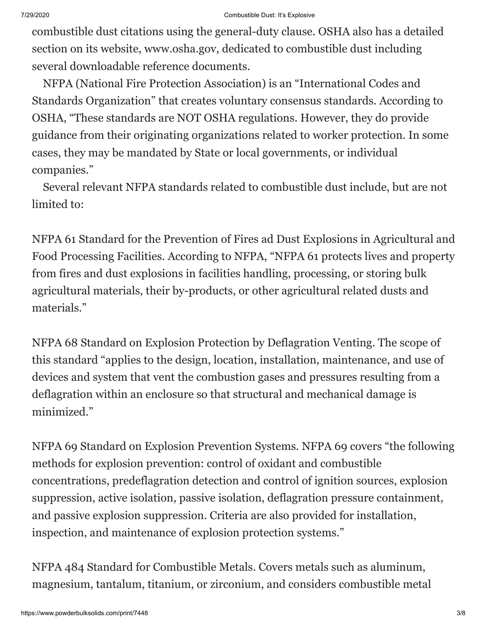combustible dust citations using the general-duty clause. OSHA also has a detailed section on its website, www.osha.gov, dedicated to combustible dust including several downloadable reference documents.

 NFPA (National Fire Protection Association) is an "International Codes and Standards Organization" that creates voluntary consensus standards. According to OSHA, "These standards are NOT OSHA regulations. However, they do provide guidance from their originating organizations related to worker protection. In some cases, they may be mandated by State or local governments, or individual companies."

 Several relevant NFPA standards related to combustible dust include, but are not limited to:

NFPA 61 Standard for the Prevention of Fires ad Dust Explosions in Agricultural and Food Processing Facilities. According to NFPA, "NFPA 61 protects lives and property from fires and dust explosions in facilities handling, processing, or storing bulk agricultural materials, their by-products, or other agricultural related dusts and materials."

NFPA 68 Standard on Explosion Protection by Deflagration Venting. The scope of this standard "applies to the design, location, installation, maintenance, and use of devices and system that vent the combustion gases and pressures resulting from a deflagration within an enclosure so that structural and mechanical damage is minimized."

NFPA 69 Standard on Explosion Prevention Systems. NFPA 69 covers "the following methods for explosion prevention: control of oxidant and combustible concentrations, predeflagration detection and control of ignition sources, explosion suppression, active isolation, passive isolation, deflagration pressure containment, and passive explosion suppression. Criteria are also provided for installation, inspection, and maintenance of explosion protection systems."

NFPA 484 Standard for Combustible Metals. Covers metals such as aluminum, magnesium, tantalum, titanium, or zirconium, and considers combustible metal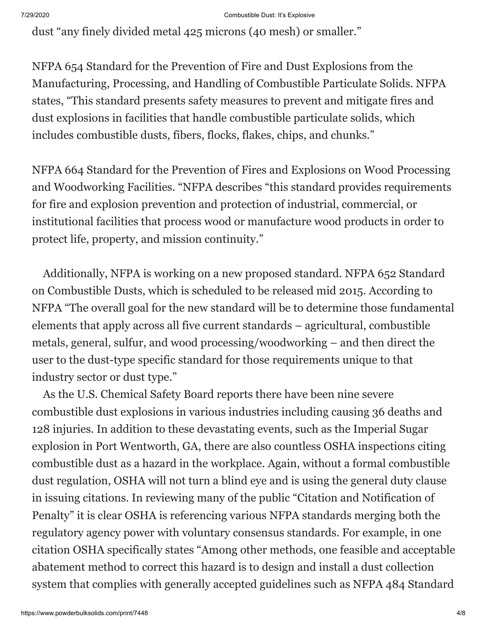dust "any finely divided metal 425 microns (40 mesh) or smaller."

NFPA 654 Standard for the Prevention of Fire and Dust Explosions from the Manufacturing, Processing, and Handling of Combustible Particulate Solids. NFPA states, "This standard presents safety measures to prevent and mitigate fires and dust explosions in facilities that handle combustible particulate solids, which includes combustible dusts, fibers, flocks, flakes, chips, and chunks."

NFPA 664 Standard for the Prevention of Fires and Explosions on Wood Processing and Woodworking Facilities. "NFPA describes "this standard provides requirements for fire and explosion prevention and protection of industrial, commercial, or institutional facilities that process wood or manufacture wood products in order to protect life, property, and mission continuity."

 Additionally, NFPA is working on a new proposed standard. NFPA 652 Standard on Combustible Dusts, which is scheduled to be released mid 2015. According to NFPA "The overall goal for the new standard will be to determine those fundamental elements that apply across all five current standards – agricultural, combustible metals, general, sulfur, and wood processing/woodworking – and then direct the user to the dust-type specific standard for those requirements unique to that industry sector or dust type."

 As the U.S. Chemical Safety Board reports there have been nine severe combustible dust explosions in various industries including causing 36 deaths and 128 injuries. In addition to these devastating events, such as the Imperial Sugar explosion in Port Wentworth, GA, there are also countless OSHA inspections citing combustible dust as a hazard in the workplace. Again, without a formal combustible dust regulation, OSHA will not turn a blind eye and is using the general duty clause in issuing citations. In reviewing many of the public "Citation and Notification of Penalty" it is clear OSHA is referencing various NFPA standards merging both the regulatory agency power with voluntary consensus standards. For example, in one citation OSHA specifically states "Among other methods, one feasible and acceptable abatement method to correct this hazard is to design and install a dust collection system that complies with generally accepted guidelines such as NFPA 484 Standard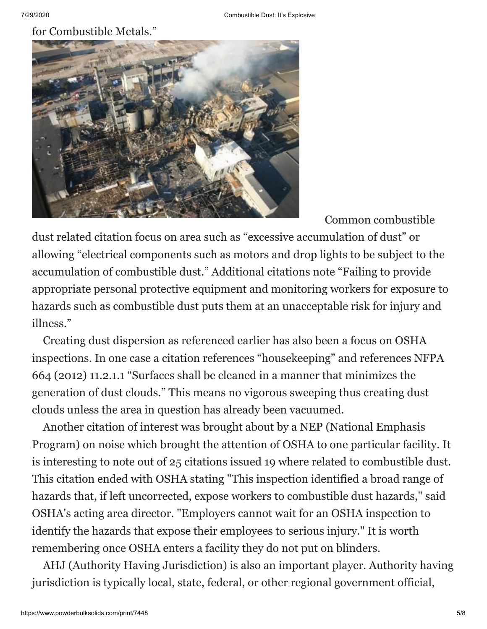for Combustible Metals."



Common combustible

dust related citation focus on area such as "excessive accumulation of dust" or allowing "electrical components such as motors and drop lights to be subject to the accumulation of combustible dust." Additional citations note "Failing to provide appropriate personal protective equipment and monitoring workers for exposure to hazards such as combustible dust puts them at an unacceptable risk for injury and illness."

 Creating dust dispersion as referenced earlier has also been a focus on OSHA inspections. In one case a citation references "housekeeping" and references NFPA 664 (2012) 11.2.1.1 "Surfaces shall be cleaned in a manner that minimizes the generation of dust clouds." This means no vigorous sweeping thus creating dust clouds unless the area in question has already been vacuumed.

 Another citation of interest was brought about by a NEP (National Emphasis Program) on noise which brought the attention of OSHA to one particular facility. It is interesting to note out of 25 citations issued 19 where related to combustible dust. This citation ended with OSHA stating "This inspection identified a broad range of hazards that, if left uncorrected, expose workers to combustible dust hazards," said OSHA's acting area director. "Employers cannot wait for an OSHA inspection to identify the hazards that expose their employees to serious injury." It is worth remembering once OSHA enters a facility they do not put on blinders.

 AHJ (Authority Having Jurisdiction) is also an important player. Authority having jurisdiction is typically local, state, federal, or other regional government official,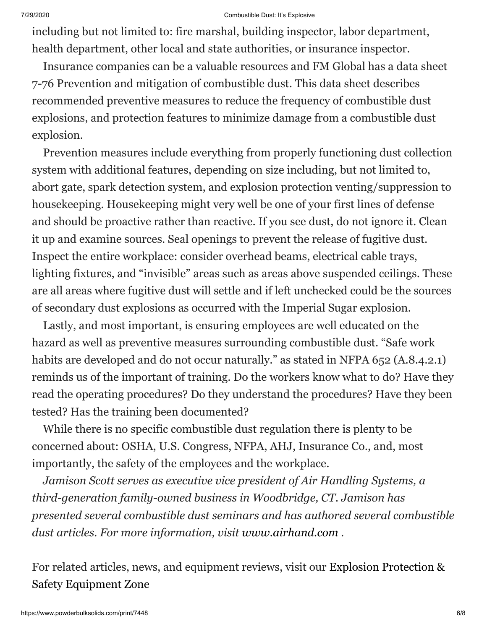including but not limited to: fire marshal, building inspector, labor department, health department, other local and state authorities, or insurance inspector.

 Insurance companies can be a valuable resources and FM Global has a data sheet 7-76 Prevention and mitigation of combustible dust. This data sheet describes recommended preventive measures to reduce the frequency of combustible dust explosions, and protection features to minimize damage from a combustible dust explosion.

 Prevention measures include everything from properly functioning dust collection system with additional features, depending on size including, but not limited to, abort gate, spark detection system, and explosion protection venting/suppression to housekeeping. Housekeeping might very well be one of your first lines of defense and should be proactive rather than reactive. If you see dust, do not ignore it. Clean it up and examine sources. Seal openings to prevent the release of fugitive dust. Inspect the entire workplace: consider overhead beams, electrical cable trays, lighting fixtures, and "invisible" areas such as areas above suspended ceilings. These are all areas where fugitive dust will settle and if left unchecked could be the sources of secondary dust explosions as occurred with the Imperial Sugar explosion.

 Lastly, and most important, is ensuring employees are well educated on the hazard as well as preventive measures surrounding combustible dust. "Safe work habits are developed and do not occur naturally." as stated in NFPA 652 (A.8.4.2.1) reminds us of the important of training. Do the workers know what to do? Have they read the operating procedures? Do they understand the procedures? Have they been tested? Has the training been documented?

 While there is no specific combustible dust regulation there is plenty to be concerned about: OSHA, U.S. Congress, NFPA, AHJ, Insurance Co., and, most importantly, the safety of the employees and the workplace.

 *Jamison Scott serves as executive vice president of Air Handling Systems, a third-generation family-owned business in Woodbridge, CT. Jamison has presented several combustible dust seminars and has authored several combustible dust articles. For more information, visit [www.airhand.com](http://www.airhand.com/) .*

[For related articles, news, and equipment reviews, visit our Explosion Protection &](http://www.powderbulksolids.com/equipment-zone/8057) Safety Equipment Zone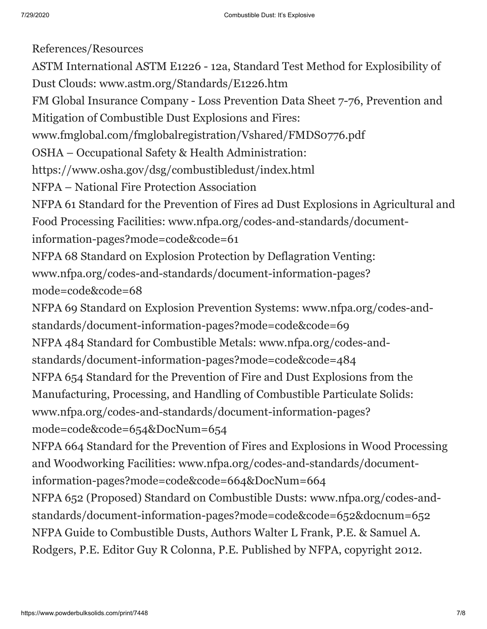References/Resources ASTM International ASTM E1226 - 12a, Standard Test Method for Explosibility of Dust Clouds: www.astm.org/Standards/E1226.htm FM Global Insurance Company - Loss Prevention Data Sheet 7-76, Prevention and Mitigation of Combustible Dust Explosions and Fires: www.fmglobal.com/fmglobalregistration/Vshared/FMDS0776.pdf OSHA – Occupational Safety & Health Administration: https://www.osha.gov/dsg/combustibledust/index.html NFPA – National Fire Protection Association NFPA 61 Standard for the Prevention of Fires ad Dust Explosions in Agricultural and Food Processing Facilities: www.nfpa.org/codes-and-standards/documentinformation-pages?mode=code&code=61 NFPA 68 Standard on Explosion Protection by Deflagration Venting: www.nfpa.org/codes-and-standards/document-information-pages? mode=code&code=68 NFPA 69 Standard on Explosion Prevention Systems: www.nfpa.org/codes-andstandards/document-information-pages?mode=code&code=69 NFPA 484 Standard for Combustible Metals: www.nfpa.org/codes-andstandards/document-information-pages?mode=code&code=484 NFPA 654 Standard for the Prevention of Fire and Dust Explosions from the Manufacturing, Processing, and Handling of Combustible Particulate Solids: www.nfpa.org/codes-and-standards/document-information-pages? mode=code&code=654&DocNum=654 NFPA 664 Standard for the Prevention of Fires and Explosions in Wood Processing and Woodworking Facilities: www.nfpa.org/codes-and-standards/documentinformation-pages?mode=code&code=664&DocNum=664 NFPA 652 (Proposed) Standard on Combustible Dusts: www.nfpa.org/codes-andstandards/document-information-pages?mode=code&code=652&docnum=652 NFPA Guide to Combustible Dusts, Authors Walter L Frank, P.E. & Samuel A. Rodgers, P.E. Editor Guy R Colonna, P.E. Published by NFPA, copyright 2012.